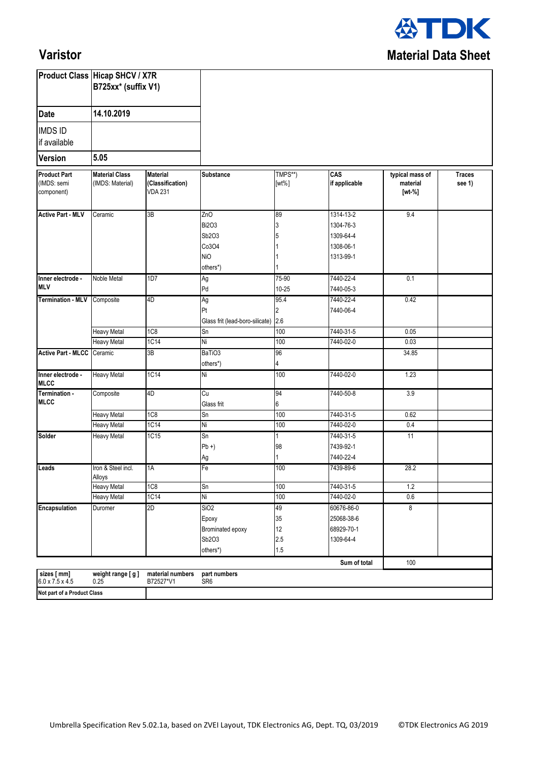

## **Varistor**

|                                                          | <b>Product Class Hicap SHCV / X7R</b><br>B725xx* (suffix V1)<br>14.10.2019 |                                                       |                                                                    |                              |                                                               |                                       |                         |
|----------------------------------------------------------|----------------------------------------------------------------------------|-------------------------------------------------------|--------------------------------------------------------------------|------------------------------|---------------------------------------------------------------|---------------------------------------|-------------------------|
| <b>Date</b>                                              |                                                                            |                                                       |                                                                    |                              |                                                               |                                       |                         |
| <b>IMDS ID</b><br>if available<br>5.05<br><b>Version</b> |                                                                            |                                                       |                                                                    |                              |                                                               |                                       |                         |
|                                                          |                                                                            |                                                       |                                                                    |                              |                                                               |                                       |                         |
| <b>Product Part</b><br>(IMDS: semi<br>component)         | <b>Material Class</b><br>(IMDS: Material)                                  | <b>Material</b><br>(Classification)<br><b>VDA 231</b> | <b>Substance</b>                                                   | TMPS**)<br>$[wt\%]$          | CAS<br>if applicable                                          | typical mass of<br>material<br>[wt-%] | <b>Traces</b><br>see 1) |
| <b>Active Part - MLV</b>                                 | Ceramic                                                                    | 3B                                                    | ZnO<br><b>Bi2O3</b><br>Sb2O3<br>Co3O4<br><b>NiO</b><br>others*)    | 89<br>3                      | 1314-13-2<br>1304-76-3<br>1309-64-4<br>1308-06-1<br>1313-99-1 | 9.4                                   |                         |
| Inner electrode -<br><b>MLV</b>                          | Noble Metal                                                                | 1D7                                                   | Ag<br>Pd                                                           | 75-90<br>$10 - 25$           | 7440-22-4<br>7440-05-3                                        | 0.1                                   |                         |
| Termination - MLV Composite                              |                                                                            | 4D                                                    | Ag<br>Pt<br>Glass frit (lead-boro-silicate) 2.6                    | 95.4<br>$\overline{2}$       | 7440-22-4<br>7440-06-4                                        | 0.42                                  |                         |
|                                                          | <b>Heavy Metal</b>                                                         | 1C <sub>8</sub>                                       | Sn                                                                 | 100                          | 7440-31-5                                                     | 0.05                                  |                         |
|                                                          | Heavy Metal                                                                | 1C14                                                  | Ni                                                                 | 100                          | 7440-02-0                                                     | 0.03                                  |                         |
| <b>Active Part - MLCC</b> Ceramic                        |                                                                            | 3B                                                    | BaTiO <sub>3</sub><br>others*)                                     | 96<br>4                      |                                                               | 34.85                                 |                         |
| Inner electrode -<br><b>MLCC</b>                         | <b>Heavy Metal</b>                                                         | 1C14                                                  | Ni                                                                 | 100                          | 7440-02-0                                                     | 1.23                                  |                         |
| Termination -<br><b>MLCC</b>                             | Composite                                                                  | 4D                                                    | Cu<br>Glass frit                                                   | 94<br>6                      | 7440-50-8                                                     | 3.9                                   |                         |
|                                                          | Heavy Metal                                                                | 1C <sub>8</sub>                                       | Sn                                                                 | 100                          | 7440-31-5                                                     | 0.62                                  |                         |
|                                                          | Heavy Metal                                                                | 1C14                                                  | Ni                                                                 | 100                          | 7440-02-0                                                     | 0.4                                   |                         |
| Solder                                                   | <b>Heavy Metal</b>                                                         | 1C15                                                  | Sn<br>$Pb +$<br>Ag                                                 | 1<br>98                      | 7440-31-5<br>7439-92-1<br>7440-22-4                           | 11                                    |                         |
| Leads                                                    | Iron & Steel incl.<br>Alloys                                               | 1A                                                    | Fe                                                                 | 100                          | 7439-89-6                                                     | 28.2                                  |                         |
|                                                          | <b>Heavy Metal</b>                                                         | 1C8                                                   | Sn                                                                 | 100                          | 7440-31-5                                                     | 1.2                                   |                         |
|                                                          | <b>Heavy Metal</b>                                                         | <b>1C14</b>                                           | Ni                                                                 | 100                          | 7440-02-0                                                     | 0.6                                   |                         |
| <b>Encapsulation</b>                                     | Duromer                                                                    | 2D                                                    | SiO <sub>2</sub><br>Epoxy<br>Brominated epoxy<br>Sb2O3<br>others*) | 49<br>35<br>12<br>2.5<br>1.5 | 60676-86-0<br>25068-38-6<br>68929-70-1<br>1309-64-4           | 8                                     |                         |
|                                                          |                                                                            |                                                       |                                                                    |                              | Sum of total                                                  | 100                                   |                         |
| sizes [ mm]<br>$6.0 \times 7.5 \times 4.5$               | weight range [g]<br>0.25                                                   | material numbers<br>B72527*V1                         | part numbers<br>SR <sub>6</sub>                                    |                              |                                                               |                                       |                         |
| Not part of a Product Class                              |                                                                            |                                                       |                                                                    |                              |                                                               |                                       |                         |